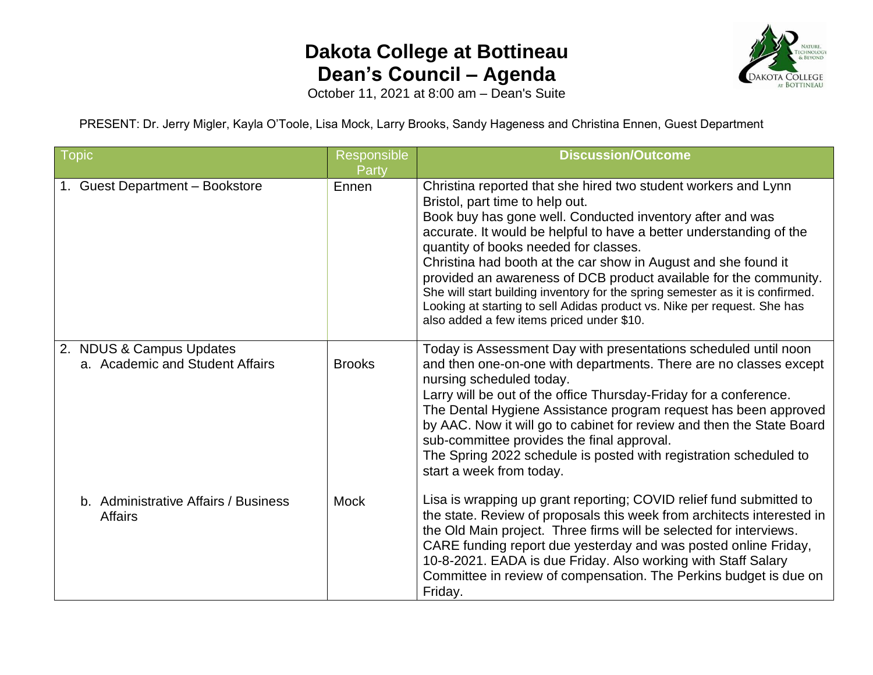## **Dakota College at Bottineau Dean's Council – Agenda**



October 11, 2021 at 8:00 am – Dean's Suite

PRESENT: Dr. Jerry Migler, Kayla O'Toole, Lisa Mock, Larry Brooks, Sandy Hageness and Christina Ennen, Guest Department

| Topic                                                       | Responsible<br>Party | <b>Discussion/Outcome</b>                                                                                                                                                                                                                                                                                                                                                                                                                                                                                                                                                                                                       |
|-------------------------------------------------------------|----------------------|---------------------------------------------------------------------------------------------------------------------------------------------------------------------------------------------------------------------------------------------------------------------------------------------------------------------------------------------------------------------------------------------------------------------------------------------------------------------------------------------------------------------------------------------------------------------------------------------------------------------------------|
| 1. Guest Department - Bookstore                             | Ennen                | Christina reported that she hired two student workers and Lynn<br>Bristol, part time to help out.<br>Book buy has gone well. Conducted inventory after and was<br>accurate. It would be helpful to have a better understanding of the<br>quantity of books needed for classes.<br>Christina had booth at the car show in August and she found it<br>provided an awareness of DCB product available for the community.<br>She will start building inventory for the spring semester as it is confirmed.<br>Looking at starting to sell Adidas product vs. Nike per request. She has<br>also added a few items priced under \$10. |
| 2. NDUS & Campus Updates<br>a. Academic and Student Affairs | <b>Brooks</b>        | Today is Assessment Day with presentations scheduled until noon<br>and then one-on-one with departments. There are no classes except<br>nursing scheduled today.<br>Larry will be out of the office Thursday-Friday for a conference.<br>The Dental Hygiene Assistance program request has been approved<br>by AAC. Now it will go to cabinet for review and then the State Board<br>sub-committee provides the final approval.<br>The Spring 2022 schedule is posted with registration scheduled to<br>start a week from today.                                                                                                |
| b. Administrative Affairs / Business<br><b>Affairs</b>      | <b>Mock</b>          | Lisa is wrapping up grant reporting; COVID relief fund submitted to<br>the state. Review of proposals this week from architects interested in<br>the Old Main project. Three firms will be selected for interviews.<br>CARE funding report due yesterday and was posted online Friday,<br>10-8-2021. EADA is due Friday. Also working with Staff Salary<br>Committee in review of compensation. The Perkins budget is due on<br>Friday.                                                                                                                                                                                         |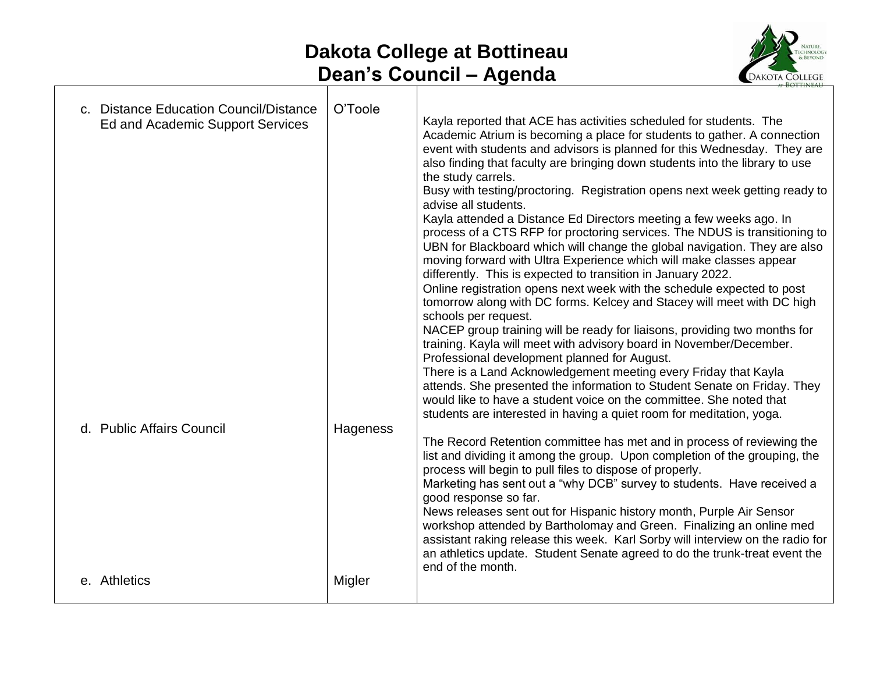## **Dakota College at Bottineau Dean's Council – Agenda**



| c. Distance Education Council/Distance<br>Ed and Academic Support Services | O'Toole  | Kayla reported that ACE has activities scheduled for students. The<br>Academic Atrium is becoming a place for students to gather. A connection<br>event with students and advisors is planned for this Wednesday. They are<br>also finding that faculty are bringing down students into the library to use<br>the study carrels.<br>Busy with testing/proctoring. Registration opens next week getting ready to<br>advise all students.<br>Kayla attended a Distance Ed Directors meeting a few weeks ago. In<br>process of a CTS RFP for proctoring services. The NDUS is transitioning to<br>UBN for Blackboard which will change the global navigation. They are also<br>moving forward with Ultra Experience which will make classes appear<br>differently. This is expected to transition in January 2022.<br>Online registration opens next week with the schedule expected to post<br>tomorrow along with DC forms. Kelcey and Stacey will meet with DC high<br>schools per request.<br>NACEP group training will be ready for liaisons, providing two months for<br>training. Kayla will meet with advisory board in November/December.<br>Professional development planned for August.<br>There is a Land Acknowledgement meeting every Friday that Kayla<br>attends. She presented the information to Student Senate on Friday. They<br>would like to have a student voice on the committee. She noted that |
|----------------------------------------------------------------------------|----------|-----------------------------------------------------------------------------------------------------------------------------------------------------------------------------------------------------------------------------------------------------------------------------------------------------------------------------------------------------------------------------------------------------------------------------------------------------------------------------------------------------------------------------------------------------------------------------------------------------------------------------------------------------------------------------------------------------------------------------------------------------------------------------------------------------------------------------------------------------------------------------------------------------------------------------------------------------------------------------------------------------------------------------------------------------------------------------------------------------------------------------------------------------------------------------------------------------------------------------------------------------------------------------------------------------------------------------------------------------------------------------------------------------------------------|
| d. Public Affairs Council                                                  | Hageness | students are interested in having a quiet room for meditation, yoga.<br>The Record Retention committee has met and in process of reviewing the<br>list and dividing it among the group. Upon completion of the grouping, the<br>process will begin to pull files to dispose of properly.<br>Marketing has sent out a "why DCB" survey to students. Have received a<br>good response so far.<br>News releases sent out for Hispanic history month, Purple Air Sensor<br>workshop attended by Bartholomay and Green. Finalizing an online med<br>assistant raking release this week. Karl Sorby will interview on the radio for<br>an athletics update. Student Senate agreed to do the trunk-treat event the<br>end of the month.                                                                                                                                                                                                                                                                                                                                                                                                                                                                                                                                                                                                                                                                                      |
| e. Athletics                                                               | Migler   |                                                                                                                                                                                                                                                                                                                                                                                                                                                                                                                                                                                                                                                                                                                                                                                                                                                                                                                                                                                                                                                                                                                                                                                                                                                                                                                                                                                                                       |